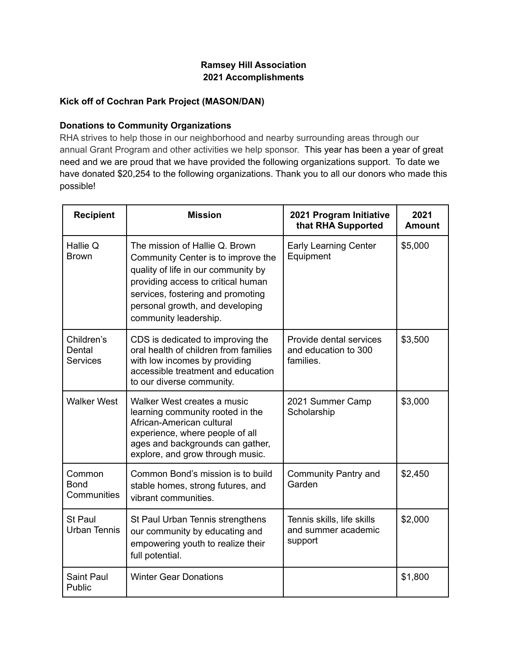## **Ramsey Hill Association 2021 Accomplishments**

### **Kick off of Cochran Park Project (MASON/DAN)**

#### **Donations to Community Organizations**

RHA strives to help those in our neighborhood and nearby surrounding areas through our annual Grant Program and other activities we help sponsor. This year has been a year of great need and we are proud that we have provided the following organizations support. To date we have donated \$20,254 to the following organizations. Thank you to all our donors who made this possible!

| <b>Recipient</b>                        | <b>Mission</b>                                                                                                                                                                                                                                     | 2021 Program Initiative<br>that RHA Supported                | 2021<br><b>Amount</b> |
|-----------------------------------------|----------------------------------------------------------------------------------------------------------------------------------------------------------------------------------------------------------------------------------------------------|--------------------------------------------------------------|-----------------------|
| Hallie Q<br><b>Brown</b>                | The mission of Hallie Q. Brown<br>Community Center is to improve the<br>quality of life in our community by<br>providing access to critical human<br>services, fostering and promoting<br>personal growth, and developing<br>community leadership. | <b>Early Learning Center</b><br>Equipment                    | \$5,000               |
| Children's<br>Dental<br><b>Services</b> | CDS is dedicated to improving the<br>oral health of children from families<br>with low incomes by providing<br>accessible treatment and education<br>to our diverse community.                                                                     | Provide dental services<br>and education to 300<br>families. | \$3,500               |
| <b>Walker West</b>                      | Walker West creates a music<br>learning community rooted in the<br>African-American cultural<br>experience, where people of all<br>ages and backgrounds can gather,<br>explore, and grow through music.                                            | 2021 Summer Camp<br>Scholarship                              | \$3,000               |
| Common<br><b>Bond</b><br>Communities    | Common Bond's mission is to build<br>stable homes, strong futures, and<br>vibrant communities.                                                                                                                                                     | Community Pantry and<br>Garden                               | \$2,450               |
| St Paul<br><b>Urban Tennis</b>          | St Paul Urban Tennis strengthens<br>our community by educating and<br>empowering youth to realize their<br>full potential.                                                                                                                         | Tennis skills, life skills<br>and summer academic<br>support | \$2,000               |
| <b>Saint Paul</b><br>Public             | <b>Winter Gear Donations</b>                                                                                                                                                                                                                       |                                                              | \$1,800               |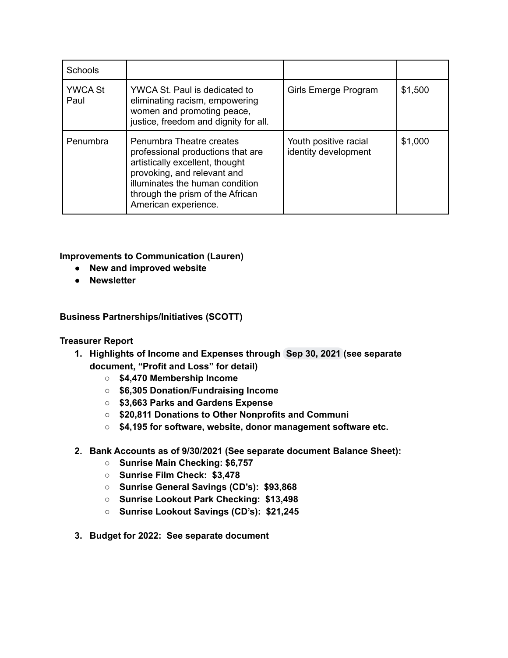| Schools                |                                                                                                                                                                                                                                |                                               |         |
|------------------------|--------------------------------------------------------------------------------------------------------------------------------------------------------------------------------------------------------------------------------|-----------------------------------------------|---------|
| <b>YWCA St</b><br>Paul | YWCA St. Paul is dedicated to<br>eliminating racism, empowering<br>women and promoting peace,<br>justice, freedom and dignity for all.                                                                                         | Girls Emerge Program                          | \$1,500 |
| Penumbra               | Penumbra Theatre creates<br>professional productions that are<br>artistically excellent, thought<br>provoking, and relevant and<br>illuminates the human condition<br>through the prism of the African<br>American experience. | Youth positive racial<br>identity development | \$1,000 |

**Improvements to Communication (Lauren)**

- **● New and improved website**
- **● Newsletter**

**Business Partnerships/Initiatives (SCOTT)**

#### **Treasurer Report**

- **1. Highlights of Income and Expenses through Sep 30, 2021 (see separate document, "Profit and Loss" for detail)**
	- **○ \$4,470 Membership Income**
	- **○ \$6,305 Donation/Fundraising Income**
	- **○ \$3,663 Parks and Gardens Expense**
	- **○ \$20,811 Donations to Other Nonprofits and Communi**
	- **○ \$4,195 for software, website, donor management software etc.**
- **2. Bank Accounts as of 9/30/2021 (See separate document Balance Sheet):**
	- **○ Sunrise Main Checking: \$6,757**
	- **○ Sunrise Film Check: \$3,478**
	- **○ Sunrise General Savings (CD's): \$93,868**
	- **○ Sunrise Lookout Park Checking: \$13,498**
	- **○ Sunrise Lookout Savings (CD's): \$21,245**
- **3. Budget for 2022: See separate document**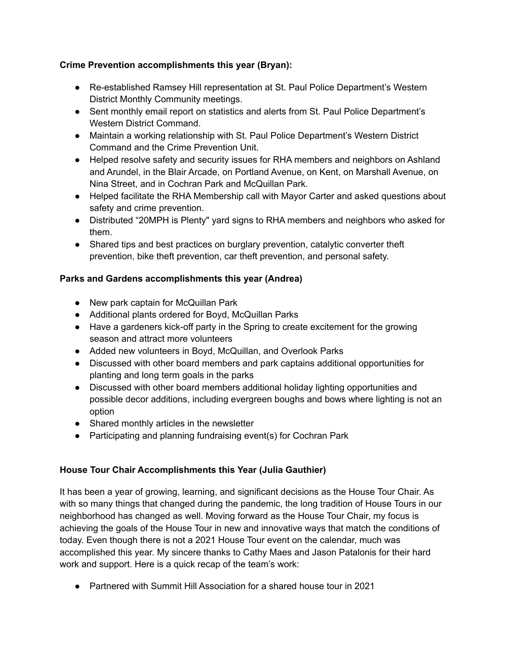# **Crime Prevention accomplishments this year (Bryan):**

- Re-established Ramsey Hill representation at St. Paul Police Department's Western District Monthly Community meetings.
- Sent monthly email report on statistics and alerts from St. Paul Police Department's Western District Command.
- Maintain a working relationship with St. Paul Police Department's Western District Command and the Crime Prevention Unit.
- Helped resolve safety and security issues for RHA members and neighbors on Ashland and Arundel, in the Blair Arcade, on Portland Avenue, on Kent, on Marshall Avenue, on Nina Street, and in Cochran Park and McQuillan Park.
- Helped facilitate the RHA Membership call with Mayor Carter and asked questions about safety and crime prevention.
- Distributed "20MPH is Plenty" yard signs to RHA members and neighbors who asked for them.
- Shared tips and best practices on burglary prevention, catalytic converter theft prevention, bike theft prevention, car theft prevention, and personal safety.

# **Parks and Gardens accomplishments this year (Andrea)**

- New park captain for McQuillan Park
- Additional plants ordered for Boyd, McQuillan Parks
- Have a gardeners kick-off party in the Spring to create excitement for the growing season and attract more volunteers
- Added new volunteers in Boyd, McQuillan, and Overlook Parks
- Discussed with other board members and park captains additional opportunities for planting and long term goals in the parks
- Discussed with other board members additional holiday lighting opportunities and possible decor additions, including evergreen boughs and bows where lighting is not an option
- Shared monthly articles in the newsletter
- Participating and planning fundraising event(s) for Cochran Park

# **House Tour Chair Accomplishments this Year (Julia Gauthier)**

It has been a year of growing, learning, and significant decisions as the House Tour Chair. As with so many things that changed during the pandemic, the long tradition of House Tours in our neighborhood has changed as well. Moving forward as the House Tour Chair, my focus is achieving the goals of the House Tour in new and innovative ways that match the conditions of today. Even though there is not a 2021 House Tour event on the calendar, much was accomplished this year. My sincere thanks to Cathy Maes and Jason Patalonis for their hard work and support. Here is a quick recap of the team's work:

● Partnered with Summit Hill Association for a shared house tour in 2021